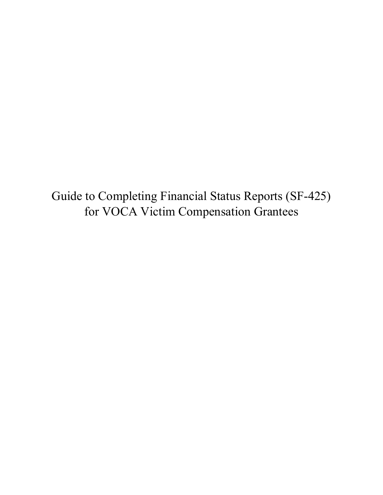Guide to Completing Financial Status Reports (SF-425) for VOCA Victim Compensation Grantees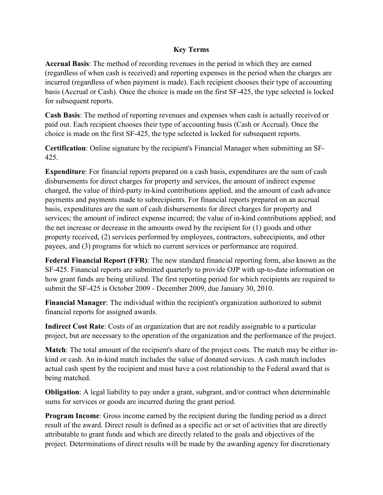## **Key Terms**

**Accrual Basis**: The method of recording revenues in the period in which they are earned (regardless of when cash is received) and reporting expenses in the period when the charges are incurred (regardless of when payment is made). Each recipient chooses their type of accounting basis (Accrual or Cash). Once the choice is made on the first SF‐425, the type selected is locked for subsequent reports.

**Cash Basis**: The method of reporting revenues and expenses when cash is actually received or paid out. Each recipient chooses their type of accounting basis (Cash or Accrual). Once the choice is made on the first SF‐425, the type selected is locked for subsequent reports.

**Certification**: Online signature by the recipient's Financial Manager when submitting an SF‐ 425.

**Expenditure**: For financial reports prepared on a cash basis, expenditures are the sum of cash disbursements for direct charges for property and services, the amount of indirect expense charged, the value of third‐party in‐kind contributions applied, and the amount of cash advance payments and payments made to subrecipients. For financial reports prepared on an accrual basis, expenditures are the sum of cash disbursements for direct charges for property and services; the amount of indirect expense incurred; the value of in-kind contributions applied; and the net increase or decrease in the amounts owed by the recipient for (1) goods and other property received, (2) services performed by employees, contractors, subrecipients, and other payees, and (3) programs for which no current services or performance are required.

**Federal Financial Report (FFR)**: The new standard financial reporting form, also known as the SF-425. Financial reports are submitted quarterly to provide OJP with up-to-date information on how grant funds are being utilized. The first reporting period for which recipients are required to submit the SF-425 is October 2009 - December 2009, due January 30, 2010.

**Financial Manager**: The individual within the recipient's organization authorized to submit financial reports for assigned awards.

**Indirect Cost Rate**: Costs of an organization that are not readily assignable to a particular project, but are necessary to the operation of the organization and the performance of the project.

**Match**: The total amount of the recipient's share of the project costs. The match may be either in‐ kind or cash. An in-kind match includes the value of donated services. A cash match includes actual cash spent by the recipient and must have a cost relationship to the Federal award that is being matched.

**Obligation**: A legal liability to pay under a grant, subgrant, and/or contract when determinable sums for services or goods are incurred during the grant period.

**Program Income:** Gross income earned by the recipient during the funding period as a direct result of the award. Direct result is defined as a specific act or set of activities that are directly attributable to grant funds and which are directly related to the goals and objectives of the project. Determinations of direct results will be made by the awarding agency for discretionary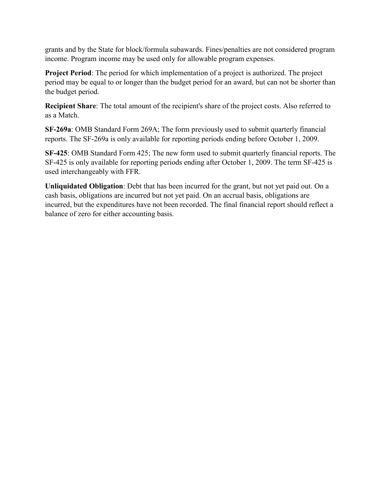grants and by the State for block/formula subawards. Fines/penalties are not considered program income. Program income may be used only for allowable program expenses.

**Project Period**: The period for which implementation of a project is authorized. The project period may be equal to or longer than the budget period for an award, but can not be shorter than the budget period.

**Recipient Share**: The total amount of the recipient's share of the project costs. Also referred to as a Match.

**SF‐269a**: OMB Standard Form 269A; The form previously used to submit quarterly financial reports. The SF‐269a is only available for reporting periods ending before October 1, 2009.

**SF‐425**: OMB Standard Form 425; The new form used to submit quarterly financial reports. The SF‐425 is only available for reporting periods ending after October 1, 2009. The term SF‐425 is used interchangeably with FFR.

**Unliquidated Obligation**: Debt that has been incurred for the grant, but not yet paid out. On a cash basis, obligations are incurred but not yet paid. On an accrual basis, obligations are incurred, but the expenditures have not been recorded. The final financial report should reflect a balance of zero for either accounting basis.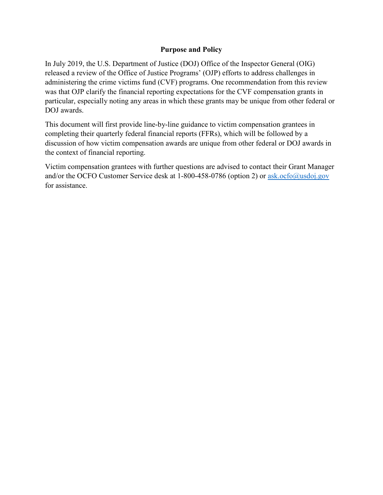## **Purpose and Policy**

In July 2019, the U.S. Department of Justice (DOJ) Office of the Inspector General (OIG) released a review of the Office of Justice Programs' (OJP) efforts to address challenges in administering the crime victims fund (CVF) programs. One recommendation from this review was that OJP clarify the financial reporting expectations for the CVF compensation grants in particular, especially noting any areas in which these grants may be unique from other federal or DOJ awards.

This document will first provide line-by-line guidance to victim compensation grantees in completing their quarterly federal financial reports (FFRs), which will be followed by a discussion of how victim compensation awards are unique from other federal or DOJ awards in the context of financial reporting.

Victim compensation grantees with further questions are advised to contact their Grant Manager and/or the OCFO Customer Service desk at 1-800-458-0786 (option 2) or [ask.ocfo@usdoj.gov](mailto:ask.ocfo@usdoj.gov) for assistance.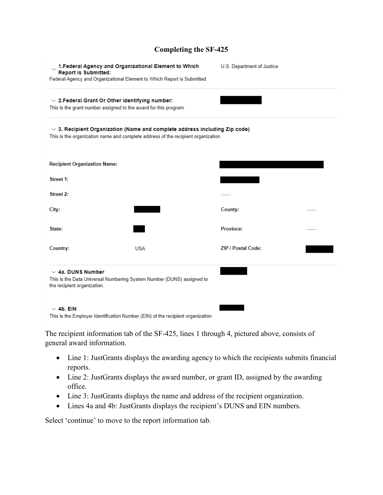# **Completing the SF-425**

| <b>Report is Submitted:</b>                                                                                                                                          | 1. Federal Agency and Organizational Element to Which<br>Federal Agency and Organizational Element to Which Report is Submitted | U.S. Department of Justice |  |  |
|----------------------------------------------------------------------------------------------------------------------------------------------------------------------|---------------------------------------------------------------------------------------------------------------------------------|----------------------------|--|--|
| $\sim$ 2. Federal Grant Or Other identifying number:<br>This is the grant number assigned to the award for this program.                                             |                                                                                                                                 |                            |  |  |
| $\vee$ 3. Recipient Organization (Name and complete address including Zip code)<br>This is the organization name and complete address of the recipient organization. |                                                                                                                                 |                            |  |  |
| <b>Recipient Organization Name:</b>                                                                                                                                  |                                                                                                                                 |                            |  |  |
| Street 1:                                                                                                                                                            |                                                                                                                                 |                            |  |  |
| Street 2:                                                                                                                                                            |                                                                                                                                 |                            |  |  |
| City:                                                                                                                                                                |                                                                                                                                 | County:                    |  |  |
| State:                                                                                                                                                               |                                                                                                                                 | <b>Province:</b>           |  |  |
| Country:                                                                                                                                                             | <b>USA</b>                                                                                                                      | <b>ZIP / Postal Code:</b>  |  |  |
| $\sim$ 4a. DUNS Number<br>the recipient organization.                                                                                                                | This is the Data Universal Numbering System Number (DUNS) assigned to                                                           |                            |  |  |
| $\vee$ 4b. EIN                                                                                                                                                       |                                                                                                                                 |                            |  |  |
|                                                                                                                                                                      | This is the Employer Identification Number (EIN) of the recipient organization.                                                 |                            |  |  |

The recipient information tab of the SF-425, lines 1 through 4, pictured above, consists of general award information.

- Line 1: JustGrants displays the awarding agency to which the recipients submits financial reports.
- Line 2: JustGrants displays the award number, or grant ID, assigned by the awarding office.
- Line 3: JustGrants displays the name and address of the recipient organization.
- Lines 4a and 4b: JustGrants displays the recipient's DUNS and EIN numbers.

Select 'continue' to move to the report information tab.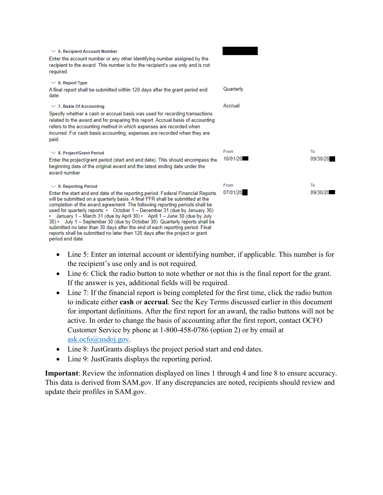| $\vee$ 5. Recipient Account Number<br>Enter the account number or any other identifying number assigned by the<br>recipient to the award. This number is for the recipient's use only and is not<br>required.                                                                                                                                                                                                                                                                                                                                                                                                                                                                                              |                  |                |
|------------------------------------------------------------------------------------------------------------------------------------------------------------------------------------------------------------------------------------------------------------------------------------------------------------------------------------------------------------------------------------------------------------------------------------------------------------------------------------------------------------------------------------------------------------------------------------------------------------------------------------------------------------------------------------------------------------|------------------|----------------|
| $\vee$ 6. Report Type<br>A final report shall be submitted within 120 days after the grant period end<br>date.                                                                                                                                                                                                                                                                                                                                                                                                                                                                                                                                                                                             | Quarterly        |                |
| $\vee$ 7. Basis Of Accounting<br>Specify whether a cash or accrual basis was used for recording transactions<br>related to the award and for preparing this report. Accrual basis of accounting<br>refers to the accounting method in which expenses are recorded when<br>incurred. For cash basis accounting, expenses are recorded when they are<br>paid.                                                                                                                                                                                                                                                                                                                                                | Accrual          |                |
| $\vee$ 8. Project/Grant Period<br>Enter the project/grant period (start and end date). This should encompass the<br>beginning date of the original award and the latest ending date under the<br>award number                                                                                                                                                                                                                                                                                                                                                                                                                                                                                              | From<br>10/01/20 | To<br>09/30/20 |
| $\vee$ 9. Reporting Period<br>Enter the start and end date of the reporting period. Federal Financial Reports<br>will be submitted on a quarterly basis. A final FFR shall be submitted at the<br>completion of the award agreement. The following reporting periods shall be<br>used for quarterly reports: • October 1 – December 31 (due by January 30)<br>• January 1 - March 31 (due by April 30) • April 1 - June 30 (due by July<br>30) • July 1 - September 30 (due by October 30) Quarterly reports shall be<br>submitted no later than 30 days after the end of each reporting period. Final<br>reports shall be submitted no later than 120 days after the project or grant<br>period end date. | From<br>07/01/20 | To<br>09/30/20 |

- Line 5: Enter an internal account or identifying number, if applicable. This number is for the recipient's use only and is not required.
- Line 6: Click the radio button to note whether or not this is the final report for the grant. If the answer is yes, additional fields will be required.
- Line 7: If the financial report is being completed for the first time, click the radio button to indicate either **cash** or **accrual**. See the Key Terms discussed earlier in this document for important definitions. After the first report for an award, the radio buttons will not be active. In order to change the basis of accounting after the first report, contact OCFO Customer Service by phone at 1-800-458-0786 (option 2) or by email at [ask.ocfo@usdoj.gov](mailto:ask.ocfo@usdoj.gov).
- Line 8: JustGrants displays the project period start and end dates.
- Line 9: JustGrants displays the reporting period.

**Important**: Review the information displayed on lines 1 through 4 and line 8 to ensure accuracy. This data is derived from SAM.gov. If any discrepancies are noted, recipients should review and update their profiles in SAM.gov.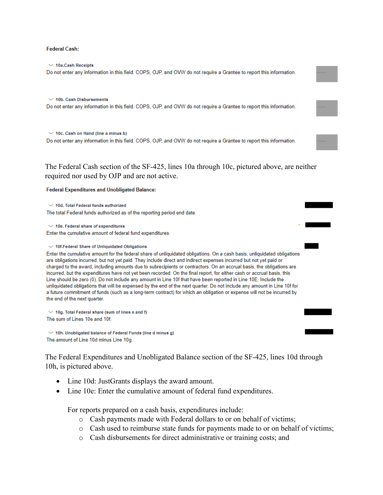#### **Federal Cash:**

 $\vee$  10a.Cash Receipts Do not enter any information in this field. COPS, OJP, and OVW do not require a Grantee to report this information.

 $\times$  10b. Cash Disbursements Do not enter any information in this field. COPS, OJP, and OVW do not require a Grantee to report this information.

 $\vee$  10c. Cash on Hand (line a minus b)

Do not enter any information in this field. COPS, OJP, and OVW do not require a Grantee to report this information.

The Federal Cash section of the SF-425, lines 10a through 10c, pictured above, are neither required nor used by OJP and are not active.

### **Federal Expenditures and Unobligated Balance:**

 $\times$  10d. Total Federal funds authorized The total Federal funds authorized as of the reporting period end date.

 $\vee$  10e. Federal share of expenditures Enter the cumulative amount of federal fund expenditures.

#### $\vee$  10f. Federal Share of Unliquidated Obligations

Enter the cumulative amount for the federal share of unliquidated obligations. On a cash basis, unliquidated obligations are obligations incurred, but not yet paid. They include direct and indirect expenses incurred but not yet paid or charged to the award, including amounts due to subrecipients or contractors. On an accrual basis, the obligations are incurred, but the expenditures have not yet been recorded. On the final report, for either cash or accrual basis, this Line should be zero (0). Do not include any amount in Line 10f that have been reported in Line 10E. Include the unliquidated obligations that will be expensed by the end of the next quarter. Do not include any amount in Line 10f for a future commitment of funds (such as a long-term contract) for which an obligation or expense will not be incurred by the end of the next quarter.

 $\vee$  10g. Total Federal share (sum of lines e and f) The sum of Lines 10e and 10f.

 $\vee$  10h. Unobligated balance of Federal Funds (line d minus g) The amount of Line 10d minus Line 10g.

The Federal Expenditures and Unobligated Balance section of the SF-425, lines 10d through 10h, is pictured above.

- Line 10d: JustGrants displays the award amount.
- Line 10e: Enter the cumulative amount of federal fund expenditures.

For reports prepared on a cash basis, expenditures include:

- o Cash payments made with Federal dollars to or on behalf of victims;
- o Cash used to reimburse state funds for payments made to or on behalf of victims;
- o Cash disbursements for direct administrative or training costs; and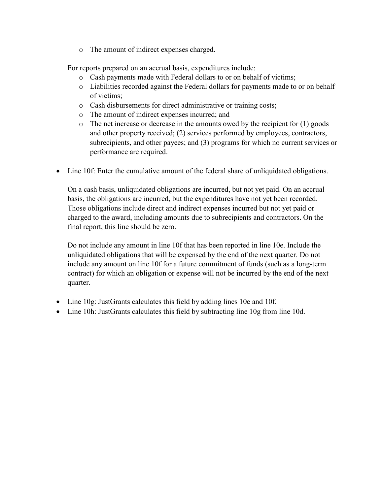o The amount of indirect expenses charged.

For reports prepared on an accrual basis, expenditures include:

- o Cash payments made with Federal dollars to or on behalf of victims;
- o Liabilities recorded against the Federal dollars for payments made to or on behalf of victims;
- o Cash disbursements for direct administrative or training costs;
- o The amount of indirect expenses incurred; and
- $\circ$  The net increase or decrease in the amounts owed by the recipient for (1) goods and other property received; (2) services performed by employees, contractors, subrecipients, and other payees; and (3) programs for which no current services or performance are required.
- Line 10f: Enter the cumulative amount of the federal share of unliquidated obligations.

On a cash basis, unliquidated obligations are incurred, but not yet paid. On an accrual basis, the obligations are incurred, but the expenditures have not yet been recorded. Those obligations include direct and indirect expenses incurred but not yet paid or charged to the award, including amounts due to subrecipients and contractors. On the final report, this line should be zero.

Do not include any amount in line 10f that has been reported in line 10e. Include the unliquidated obligations that will be expensed by the end of the next quarter. Do not include any amount on line 10f for a future commitment of funds (such as a long-term contract) for which an obligation or expense will not be incurred by the end of the next quarter.

- Line 10g: JustGrants calculates this field by adding lines 10e and 10f.
- Line 10h: JustGrants calculates this field by subtracting line 10g from line 10d.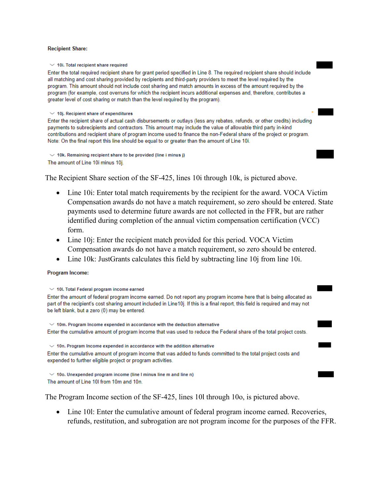#### **Recipient Share:**

 $\times$  10i. Total recipient share required

Enter the total required recipient share for grant period specified in Line 8. The required recipient share should include all matching and cost sharing provided by recipients and third-party providers to meet the level required by the program. This amount should not include cost sharing and match amounts in excess of the amount required by the program (for example, cost overruns for which the recipient incurs additional expenses and, therefore, contributes a greater level of cost sharing or match than the level required by the program).

 $\times$  10j. Recipient share of expenditures

Enter the recipient share of actual cash disbursements or outlays (less any rebates, refunds, or other credits) including payments to subrecipients and contractors. This amount may include the value of allowable third party in-kind contributions and recipient share of program income used to finance the non-Federal share of the project or program. Note: On the final report this line should be equal to or greater than the amount of Line 10i.

 $\vee$  10k. Remaining recipient share to be provided (line i minus j) The amount of Line 10i minus 10j.

The Recipient Share section of the SF-425, lines 10i through 10k, is pictured above.

- Line 10i: Enter total match requirements by the recipient for the award. VOCA Victim Compensation awards do not have a match requirement, so zero should be entered. State payments used to determine future awards are not collected in the FFR, but are rather identified during completion of the annual victim compensation certification (VCC) form.
- Line 10j: Enter the recipient match provided for this period. VOCA Victim Compensation awards do not have a match requirement, so zero should be entered.
- Line 10k: JustGrants calculates this field by subtracting line 10j from line 10i.

### Program Income:

```
\vee 10I. Total Federal program income earned
Enter the amount of federal program income earned. Do not report any program income here that is being allocated as
part of the recipient's cost sharing amount included in Line10i. If this is a final report, this field is required and may not
be left blank, but a zero (0) may be entered.
 \vee 10m. Program Income expended in accordance with the deduction alternative
Enter the cumulative amount of program income that was used to reduce the Federal share of the total project costs.
\vee 10n. Program Income expended in accordance with the addition alternative
Enter the cumulative amount of program income that was added to funds committed to the total project costs and
expended to further eligible project or program activities.
 \vee 10o. Unexpended program income (line I minus line m and line n)
The amount of Line 10I from 10m and 10n.
```
The Program Income section of the SF-425, lines 10l through 10o, is pictured above.

• Line 101: Enter the cumulative amount of federal program income earned. Recoveries, refunds, restitution, and subrogation are not program income for the purposes of the FFR.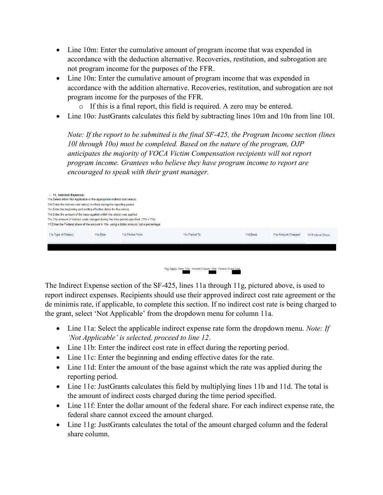- Line 10m: Enter the cumulative amount of program income that was expended in accordance with the deduction alternative. Recoveries, restitution, and subrogation are not program income for the purposes of the FFR.
- Line 10n: Enter the cumulative amount of program income that was expended in accordance with the addition alternative. Recoveries, restitution, and subrogation are not program income for the purposes of the FFR.
	- o If this is a final report, this field is required. A zero may be entered.
- Line 10o: JustGrants calculates this field by subtracting lines 10m and 10n from line 10l.

*Note: If the report to be submitted is the final SF-425, the Program Income section (lines 10l through 10o) must be completed. Based on the nature of the program, OJP anticipates the majority of VOCA Victim Compensation recipients will not report program income. Grantees who believe they have program income to report are encouraged to speak with their grant manager.*

| $\sim$ 11. Indirect Expense:<br>11a. Select either Not Applicable or the appropriate indirect cost rate(s). |                  |                |          |                    |                   |  |
|-------------------------------------------------------------------------------------------------------------|------------------|----------------|----------|--------------------|-------------------|--|
| 11b. Enter the indirect cost rate(s) in effect during the reporting period                                  |                  |                |          |                    |                   |  |
| 11c. Enter the beginning and ending effective dates for the rate(s).                                        |                  |                |          |                    |                   |  |
| 11d. Enter the amount of the base against which the rate(s) was applied                                     |                  |                |          |                    |                   |  |
| 11e. The amount of indirect costs charged during the time period specified. (11b x 11d)                     |                  |                |          |                    |                   |  |
| 11f. Enter the Federal share of the amount in 11e, using a dollar amount, not a percentage.                 |                  |                |          |                    |                   |  |
| 11a. Type of Rate(s)<br>11b.Rate                                                                            | 11c. Period From | 11c. Period To | 11d.Base | 11e.Amount Charged | 11f.Federal Share |  |
|                                                                                                             |                  |                |          |                    |                   |  |
|                                                                                                             |                  |                |          |                    |                   |  |
|                                                                                                             |                  |                |          |                    |                   |  |



The Indirect Expense section of the SF-425, lines 11a through 11g, pictured above, is used to report indirect expenses. Recipients should use their approved indirect cost rate agreement or the de minimis rate, if applicable, to complete this section. If no indirect cost rate is being charged to the grant, select 'Not Applicable' from the dropdown menu for column 11a.

- Line 11a: Select the applicable indirect expense rate form the dropdown menu. *Note: If 'Not Applicable' is selected, proceed to line 12*.
- Line 11b: Enter the indirect cost rate in effect during the reporting period.
- Line 11c: Enter the beginning and ending effective dates for the rate.
- Line 11d: Enter the amount of the base against which the rate was applied during the reporting period.
- Line 11e: JustGrants calculates this field by multiplying lines 11b and 11d. The total is the amount of indirect costs charged during the time period specified.
- Line 11f: Enter the dollar amount of the federal share. For each indirect expense rate, the federal share cannot exceed the amount charged.
- Line 11g: JustGrants calculates the total of the amount charged column and the federal share column.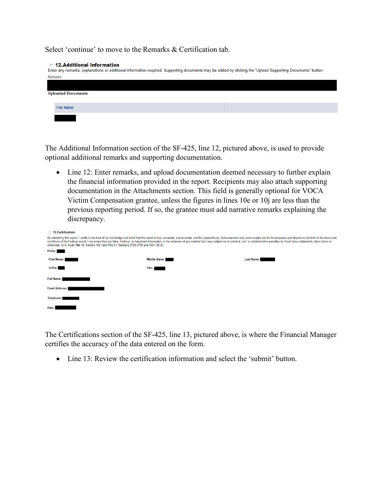Select 'continue' to move to the Remarks & Certification tab.

#### $\vee$  12. Additional Information

| Enter any remarks, explanations or additional information required. Supporting documents may be added by clicking the "Upload Supporting Documents" button. |
|-------------------------------------------------------------------------------------------------------------------------------------------------------------|
| Remarks                                                                                                                                                     |
|                                                                                                                                                             |
| <b>Uploaded Documents</b>                                                                                                                                   |
| <b>File Name</b>                                                                                                                                            |
|                                                                                                                                                             |

The Additional Information section of the SF-425, line 12, pictured above, is used to provide optional additional remarks and supporting documentation.

• Line 12: Enter remarks, and upload documentation deemed necessary to further explain the financial information provided in the report. Recipients may also attach supporting documentation in the Attachments section. This field is generally optional for VOCA Victim Compensation grantee, unless the figures in lines 10e or 10j are less than the previous reporting period. If so, the grantee must add narrative remarks explaining the discrepancy.

| <b>13.Certification</b>                                                                                                                                                                                                                                                                                                                                                                                                                                                                                                                                           |              |                   |  |  |  |
|-------------------------------------------------------------------------------------------------------------------------------------------------------------------------------------------------------------------------------------------------------------------------------------------------------------------------------------------------------------------------------------------------------------------------------------------------------------------------------------------------------------------------------------------------------------------|--------------|-------------------|--|--|--|
| By submitting this report, I certify to the best of my knowledge and belief that the report is true, complete, and accurate, and the expenditures, disbursements and cash receipts are for the purposes and objectives set for<br>conditions of the Federal award. I am aware that any false, fictitious, or fraudulent information, or the omission of any material fact, may subject me to criminal, civil, or administrative penalties for fraud, false state<br>otherwise. (U.S. Code Title 18, Section 1001 and Title 31, Sections 3729-3730 and 3801-3812). |              |                   |  |  |  |
| Prefix:                                                                                                                                                                                                                                                                                                                                                                                                                                                                                                                                                           |              |                   |  |  |  |
| <b>First Name:</b>                                                                                                                                                                                                                                                                                                                                                                                                                                                                                                                                                | Middle Name: | <b>Last Name:</b> |  |  |  |
| Suffix:                                                                                                                                                                                                                                                                                                                                                                                                                                                                                                                                                           | Title:       |                   |  |  |  |
| <b>Full Name:</b>                                                                                                                                                                                                                                                                                                                                                                                                                                                                                                                                                 |              |                   |  |  |  |
| <b>Email Address:</b>                                                                                                                                                                                                                                                                                                                                                                                                                                                                                                                                             |              |                   |  |  |  |
| Telephone:                                                                                                                                                                                                                                                                                                                                                                                                                                                                                                                                                        |              |                   |  |  |  |
| Date:                                                                                                                                                                                                                                                                                                                                                                                                                                                                                                                                                             |              |                   |  |  |  |

The Certifications section of the SF-425, line 13, pictured above, is where the Financial Manager certifies the accuracy of the data entered on the form.

• Line 13: Review the certification information and select the 'submit' button.